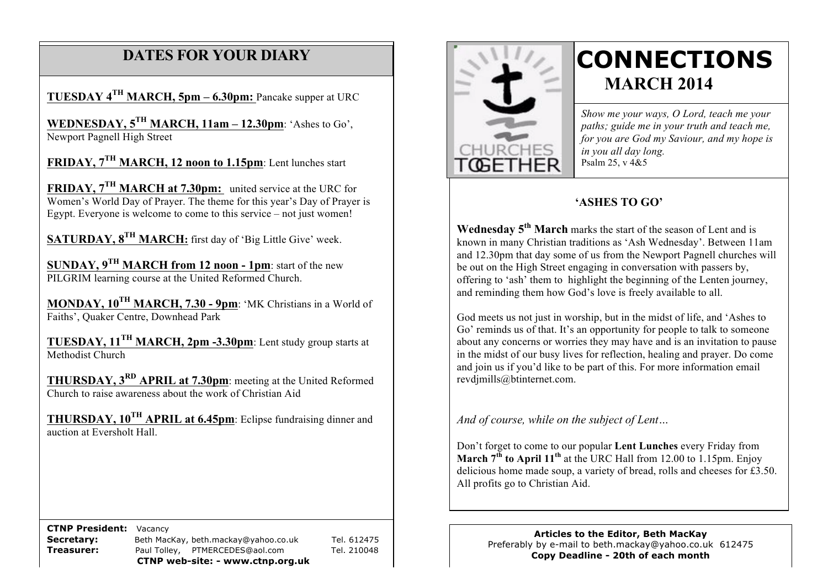# **DATES FOR YOUR DIARY**

**TUESDAY 4TH MARCH, 5pm – 6.30pm:** Pancake supper at URC

 **WEDNESDAY, 5TH MARCH, 11am – 12.30pm**: 'Ashes to Go', **NEWRESDAY, SCHARGE**<br>Newport Pagnell High Street

**FRIDAY, 7TH MARCH, 12 noon to 1.15pm**: Lent lunches start

**FRIDAY, 7TH MARCH at 7.30pm:** united service at the URC for Women's World Day of Prayer. The theme for this year's Day of Prayer is Egypt. Everyone is welcome to come to this service – not just women!

**SATURDAY, 8TH MARCH:** first day of 'Big Little Give' week.

**SUNDAY, 9TH MARCH from 12 noon - 1pm**: start of the new PILGRIM learning course at the United Reformed Church.

**MONDAY, 10TH MARCH, 7.30 - 9pm**: 'MK Christians in a World of Faiths', Quaker Centre, Downhead Park

**TUESDAY, 11TH MARCH, 2pm -3.30pm**: Lent study group starts at Methodist Church

**THURSDAY, 3RD APRIL at 7.30pm**: meeting at the United Reformed Church to raise awareness about the work of Christian Aid

**THURSDAY, 10TH APRIL at 6.45pm**: Eclipse fundraising dinner and auction at Eversholt Hall.

 **CTNP President:** Vacancy

Secretary: Beth MacKay, beth.mackay@yahoo.co.uk Tel. 612475 **Treasurer:** Paul Tolley, PTMERCEDES@aol.com Tel. 210048 **CTNP web-site: - www.ctnp.org.uk**





# **CONNECTIONS MARCH 2014**

*Show me your ways, O Lord, teach me your paths; guide me in your truth and teach me, for you are God my Saviour, and my hope is in you all day long.* Psalm 25, v 4&5

# **'ASHES TO GO'**

**Wednesday 5<sup>th</sup> March** marks the start of the season of Lent and is known in many Christian traditions as 'Ash Wednesday'. Between 11am and 12.30pm that day some of us from the Newport Pagnell churches will be out on the High Street engaging in conversation with passers by, offering to 'ash' them to highlight the beginning of the Lenten journey, and reminding them how God's love is freely available to all.

God meets us not just in worship, but in the midst of life, and 'Ashes to Go' reminds us of that. It's an opportunity for people to talk to someone about any concerns or worries they may have and is an invitation to pause in the midst of our busy lives for reflection, healing and prayer. Do come and join us if you'd like to be part of this. For more information email revdjmills@btinternet.com.

*And of course, while on the subject of Lent…*

Don't forget to come to our popular **Lent Lunches** every Friday from **March**  $7^{th}$  **to April 11<sup>th</sup>** at the URC Hall from 12.00 to 1.15pm. Enjoy delicious home made soup, a variety of bread, rolls and cheeses for £3.50. All profits go to Christian Aid.

**Articles to the Editor, Beth MacKay** Preferably by e-mail to beth.mackay@yahoo.co.uk 612475 **Copy Deadline - 20th of each month**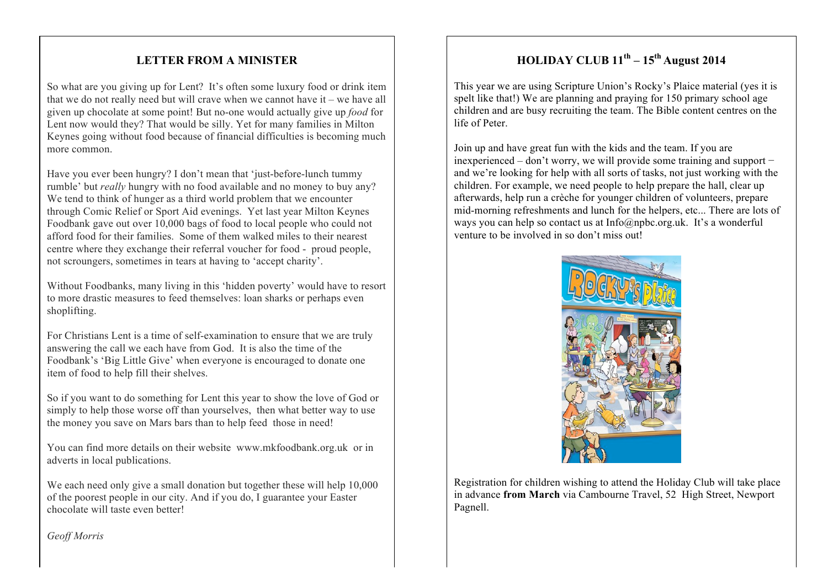# **LETTER FROM A MINISTER**

So what are you giving up for Lent? It's often some luxury food or drink item that we do not really need but will crave when we cannot have it – we have all given up chocolate at some point! But no-one would actually give up *food* for Lent now would they? That would be silly. Yet for many families in Milton Keynes going without food because of financial difficulties is becoming much more common.

Have you ever been hungry? I don't mean that 'just-before-lunch tummy rumble' but *really* hungry with no food available and no money to buy any? We tend to think of hunger as a third world problem that we encounter through Comic Relief or Sport Aid evenings. Yet last year Milton Keynes Foodbank gave out over 10,000 bags of food to local people who could not afford food for their families. Some of them walked miles to their nearest centre where they exchange their referral voucher for food - proud people, not scroungers, sometimes in tears at having to 'accept charity'.

Without Foodbanks, many living in this 'hidden poverty' would have to resort to more drastic measures to feed themselves: loan sharks or perhaps even shoplifting.

For Christians Lent is a time of self-examination to ensure that we are truly answering the call we each have from God. It is also the time of the Foodbank's 'Big Little Give' when everyone is encouraged to donate one item of food to help fill their shelves.

So if you want to do something for Lent this year to show the love of God or simply to help those worse off than yourselves, then what better way to use the money you save on Mars bars than to help feed those in need!

You can find more details on their website www.mkfoodbank.org.uk or in adverts in local publications.

We each need only give a small donation but together these will help 10,000 of the poorest people in our city. And if you do, I guarantee your Easter chocolate will taste even better!

# **HOLIDAY CLUB 11th – 15th August 2014**

This year we are using Scripture Union's Rocky's Plaice material (yes it is spelt like that!) We are planning and praying for 150 primary school age children and are busy recruiting the team. The Bible content centres on the life of Peter.

Join up and have great fun with the kids and the team. If you are inexperienced – don't worry, we will provide some training and support − and we're looking for help with all sorts of tasks, not just working with the children. For example, we need people to help prepare the hall, clear up afterwards, help run a crèche for younger children of volunteers, prepare mid-morning refreshments and lunch for the helpers, etc... There are lots of ways you can help so contact us at Info@npbc.org.uk. It's a wonderful venture to be involved in so don't miss out!



Registration for children wishing to attend the Holiday Club will take place in advance **from March** via Cambourne Travel, 52 High Street, Newport Pagnell.

*Geoff Morris*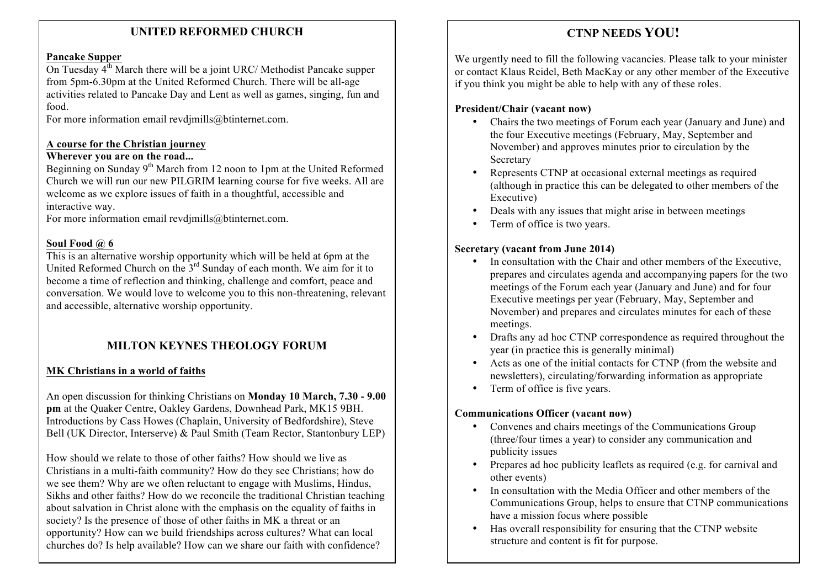# **UNITED REFORMED CHURCH**

#### **Pancake Supper**

On Tuesday  $4^{\text{th}}$  March there will be a joint URC/ Methodist Pancake supper from 5pm-6.30pm at the United Reformed Church. There will be all-age activities related to Pancake Day and Lent as well as games, singing, fun and food.

For more information email revdimills@btinternet.com.

#### **A course for the Christian journey**

#### **Wherever you are on the road...**

Beginning on Sunday  $9<sup>th</sup>$  March from 12 noon to 1pm at the United Reformed Church we will run our new PILGRIM learning course for five weeks. All are welcome as we explore issues of faith in a thoughtful, accessible and interactive way.

For more information email revdimills@btinternet.com.

#### **Soul Food @ 6**

This is an alternative worship opportunity which will be held at 6pm at the United Reformed Church on the 3<sup>rd</sup> Sunday of each month. We aim for it to become a time of reflection and thinking, challenge and comfort, peace and conversation. We would love to welcome you to this non-threatening, relevant and accessible, alternative worship opportunity.

# **MILTON KEYNES THEOLOGY FORUM**

#### **MK Christians in a world of faiths**

An open discussion for thinking Christians on **Monday 10 March, 7.30 - 9.00 pm** at the Quaker Centre, Oakley Gardens, Downhead Park, MK15 9BH. Introductions by Cass Howes (Chaplain, University of Bedfordshire), Steve Bell (UK Director, Interserve) & Paul Smith (Team Rector, Stantonbury LEP)

How should we relate to those of other faiths? How should we live as Christians in a multi-faith community? How do they see Christians; how do we see them? Why are we often reluctant to engage with Muslims, Hindus, Sikhs and other faiths? How do we reconcile the traditional Christian teaching about salvation in Christ alone with the emphasis on the equality of faiths in society? Is the presence of those of other faiths in MK a threat or an opportunity? How can we build friendships across cultures? What can local churches do? Is help available? How can we share our faith with confidence?

# **CTNP NEEDS YOU!**

We urgently need to fill the following vacancies. Please talk to your minister or contact Klaus Reidel, Beth MacKay or any other member of the Executive if you think you might be able to help with any of these roles.

#### **President/Chair (vacant now)**

- Chairs the two meetings of Forum each year (January and June) and the four Executive meetings (February, May, September and November) and approves minutes prior to circulation by the Secretary
- Represents CTNP at occasional external meetings as required (although in practice this can be delegated to other members of the Executive)
- Deals with any issues that might arise in between meetings
- Term of office is two years.

#### **Secretary (vacant from June 2014)**

- In consultation with the Chair and other members of the Executive, prepares and circulates agenda and accompanying papers for the two meetings of the Forum each year (January and June) and for four Executive meetings per year (February, May, September and November) and prepares and circulates minutes for each of these meetings.
- Drafts any ad hoc CTNP correspondence as required throughout the year (in practice this is generally minimal)
- Acts as one of the initial contacts for CTNP (from the website and newsletters), circulating/forwarding information as appropriate
- Term of office is five years.

#### **Communications Officer (vacant now)**

- Convenes and chairs meetings of the Communications Group (three/four times a year) to consider any communication and publicity issues
- Prepares ad hoc publicity leaflets as required (e.g. for carnival and other events)
- In consultation with the Media Officer and other members of the Communications Group, helps to ensure that CTNP communications have a mission focus where possible
- Has overall responsibility for ensuring that the CTNP website structure and content is fit for purpose.